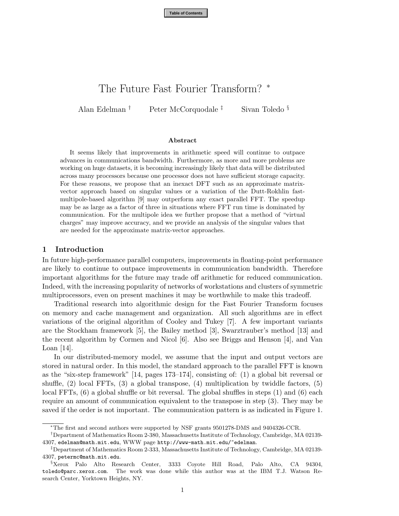**Table of Contents**

# The Future Fast Fourier Transform? <sup>∗</sup>

Alan Edelman † Peter McCorquodale ‡ Sivan Toledo §

#### **Abstract**

It seems likely that improvements in arithmetic speed will continue to outpace advances in communications bandwidth. Furthermore, as more and more problems are working on huge datasets, it is becoming increasingly likely that data will be distributed across many processors because one processor does not have sufficient storage capacity. For these reasons, we propose that an inexact DFT such as an approximate matrixvector approach based on singular values or a variation of the Dutt-Rokhlin fastmultipole-based algorithm [9] may outperform any exact parallel FFT. The speedup may be as large as a factor of three in situations where FFT run time is dominated by communication. For the multipole idea we further propose that a method of "virtual charges" may improve accuracy, and we provide an analysis of the singular values that are needed for the approximate matrix-vector approaches.

#### **1 Introduction**

In future high-performance parallel computers, improvements in floating-point performance are likely to continue to outpace improvements in communication bandwidth. Therefore important algorithms for the future may trade off arithmetic for reduced communication. Indeed, with the increasing popularity of networks of workstations and clusters of symmetric multiprocessors, even on present machines it may be worthwhile to make this tradeoff.

Traditional research into algorithmic design for the Fast Fourier Transform focuses on memory and cache management and organization. All such algorithms are in effect variations of the original algorithm of Cooley and Tukey [7]. A few important variants are the Stockham framework [5], the Bailey method [3], Swarztrauber's method [13] and the recent algorithm by Cormen and Nicol [6]. Also see Briggs and Henson [4], and Van Loan [14].

In our distributed-memory model, we assume that the input and output vectors are stored in natural order. In this model, the standard approach to the parallel FFT is known as the "six-step framework" [14, pages 173–174], consisting of: (1) a global bit reversal or shuffle, (2) local FFTs, (3) a global transpose, (4) multiplication by twiddle factors, (5) local FFTs, (6) a global shuffle or bit reversal. The global shuffles in steps (1) and (6) each require an amount of communication equivalent to the transpose in step (3). They may be saved if the order is not important. The communication pattern is as indicated in Figure 1.

<sup>∗</sup>The first and second authors were supported by NSF grants 9501278-DMS and 9404326-CCR.

<sup>†</sup>Department of Mathematics Room 2-380, Massachusetts Institute of Technology, Cambridge, MA 02139- 4307, edelman@math.mit.edu, WWW page http://www-math.mit.edu/~edelman.

<sup>‡</sup>Department of Mathematics Room 2-333, Massachusetts Institute of Technology, Cambridge, MA 02139- 4307, petermc@math.mit.edu.

<sup>§</sup>Xerox Palo Alto Research Center, 3333 Coyote Hill Road, Palo Alto, CA 94304, toledo@parc.xerox.com. The work was done while this author was at the IBM T.J. Watson Research Center, Yorktown Heights, NY.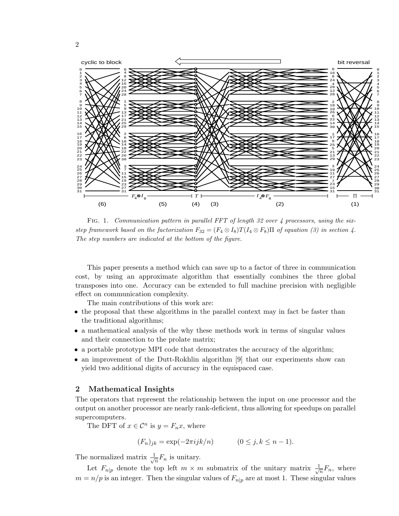

FIG. 1. Communication pattern in parallel FFT of length 32 over 4 processors, using the sixstep framework based on the factorization  $F_{32} = (F_4 \otimes I_8)T(I_4 \otimes F_8)\Pi$  of equation (3) in section 4. The step numbers are indicated at the bottom of the figure.

This paper presents a method which can save up to a factor of three in communication cost, by using an approximate algorithm that essentially combines the three global transposes into one. Accuracy can be extended to full machine precision with negligible effect on communication complexity.

The main contributions of this work are:

- the proposal that these algorithms in the parallel context may in fact be faster than the traditional algorithms;
- a mathematical analysis of the why these methods work in terms of singular values and their connection to the prolate matrix;
- a portable prototype MPI code that demonstrates the accuracy of the algorithm;
- an improvement of the Dutt-Rokhlin algorithm [9] that our experiments show can yield two additional digits of accuracy in the equispaced case.

## **2 Mathematical Insights**

The operators that represent the relationship between the input on one processor and the output on another processor are nearly rank-deficient, thus allowing for speedups on parallel supercomputers.

The DFT of  $x \in \mathcal{C}^n$  is  $y = F_n x$ , where

$$
(F_n)_{jk} = \exp(-2\pi i jk/n) \qquad (0 \le j, k \le n-1).
$$

The normalized matrix  $\frac{1}{\sqrt{n}}F_n$  is unitary.

Let  $F_{n|p}$  denote the top left  $m \times m$  submatrix of the unitary matrix  $\frac{1}{\sqrt{n}}F_n$ , where  $m = n/p$  is an integer. Then the singular values of  $F_{n|p}$  are at most 1. These singular values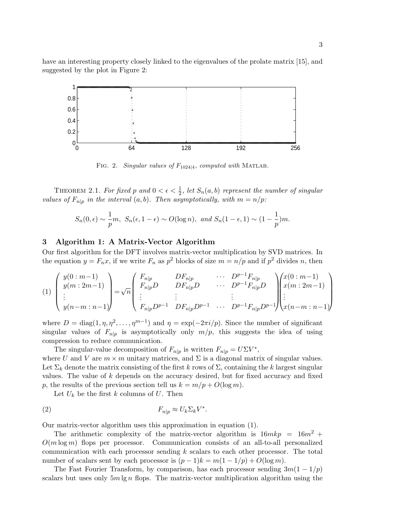have an interesting property closely linked to the eigenvalues of the prolate matrix [15], and suggested by the plot in Figure 2:



FIG. 2. Singular values of  $F_{1024|4}$ , computed with MATLAB.

THEOREM 2.1. For fixed p and  $0 < \epsilon < \frac{1}{2}$ , let  $S_n(a, b)$  represent the number of singular values of  $F_{n|p}$  in the interval  $(a, b)$ . Then asymptotically, with  $m = n/p$ :

$$
S_n(0,\epsilon) \sim \frac{1}{p}m
$$
,  $S_n(\epsilon, 1-\epsilon) \sim O(\log n)$ , and  $S_n(1-\epsilon, 1) \sim (1-\frac{1}{p})m$ .

# **3 Algorithm 1: A Matrix-Vector Algorithm**

Our first algorithm for the DFT involves matrix-vector multiplication by SVD matrices. In the equation  $y = F_n x$ , if we write  $F_n$  as  $p^2$  blocks of size  $m = n/p$  and if  $p^2$  divides n, then

$$
(1) \begin{pmatrix} y(0:m-1) \\ y(m:2m-1) \\ \vdots \\ y(n-m:n-1) \end{pmatrix} = \sqrt{n} \begin{pmatrix} F_{n|p} & DF_{n|p} & \cdots & D^{p-1}F_{n|p} \\ F_{n|p}D & DF_{n|p}D & \cdots & D^{p-1}F_{n|p}D \\ \vdots & \vdots & \ddots & \vdots \\ F_{n|p}D^{p-1} & DF_{n|p}D^{p-1} & \cdots & D^{p-1}F_{n|p}D^{p-1} \end{pmatrix} \begin{pmatrix} x(0:m-1) \\ x(m:2m-1) \\ \vdots \\ x(n-m:n-1) \end{pmatrix}
$$

where  $D = \text{diag}(1, \eta, \eta^2, \dots, \eta^{m-1})$  and  $\eta = \exp(-2\pi i/p)$ . Since the number of significant singular values of  $F_{n|p}$  is asymptotically only  $m/p$ , this suggests the idea of using compression to reduce communication.

The singular-value decomposition of  $F_{n|p}$  is written  $F_{n|p} = U\Sigma V^*$ ,

where U and V are  $m \times m$  unitary matrices, and  $\Sigma$  is a diagonal matrix of singular values. Let  $\Sigma_k$  denote the matrix consisting of the first k rows of  $\Sigma$ , containing the k largest singular values. The value of  $k$  depends on the accuracy desired, but for fixed accuracy and fixed p, the results of the previous section tell us  $k = m/p + O(\log m)$ .

Let  $U_k$  be the first k columns of U. Then

$$
F_{n|p} \approx U_k \Sigma_k V^*.
$$

Our matrix-vector algorithm uses this approximation in equation (1).

The arithmetic complexity of the matrix-vector algorithm is  $16mkp = 16m^2 +$  $O(m \log m)$  flops per processor. Communication consists of an all-to-all personalized communication with each processor sending k scalars to each other processor. The total number of scalars sent by each processor is  $(p-1)k = m(1 - 1/p) + O(\log m)$ .

The Fast Fourier Transform, by comparison, has each processor sending  $3m(1 - 1/p)$ scalars but uses only  $5m \lg n$  flops. The matrix-vector multiplication algorithm using the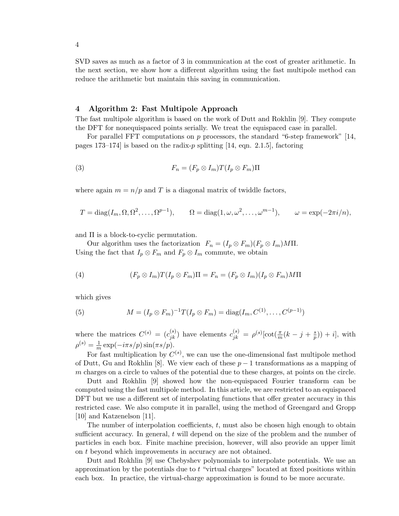SVD saves as much as a factor of 3 in communication at the cost of greater arithmetic. In the next section, we show how a different algorithm using the fast multipole method can reduce the arithmetic but maintain this saving in communication.

### **4 Algorithm 2: Fast Multipole Approach**

The fast multipole algorithm is based on the work of Dutt and Rokhlin [9]. They compute the DFT for nonequispaced points serially. We treat the equispaced case in parallel.

For parallel FFT computations on p processors, the standard "6-step framework" [14, pages 173–174] is based on the radix- $p$  splitting [14, eqn. 2.1.5], factoring

(3) 
$$
F_n = (F_p \otimes I_m)T(I_p \otimes F_m)\Pi
$$

where again  $m = n/p$  and T is a diagonal matrix of twiddle factors,

$$
T = diag(I_m, \Omega, \Omega^2, \dots, \Omega^{p-1}), \qquad \Omega = diag(1, \omega, \omega^2, \dots, \omega^{m-1}), \qquad \omega = exp(-2\pi i/n),
$$

and Π is a block-to-cyclic permutation.

Our algorithm uses the factorization  $F_n = (I_p \otimes F_m)(F_p \otimes I_m)M\Pi$ . Using the fact that  $I_p \otimes F_m$  and  $F_p \otimes I_m$  commute, we obtain

(4) 
$$
(F_p \otimes I_m)T(I_p \otimes F_m)\Pi = F_n = (F_p \otimes I_m)(I_p \otimes F_m)M\Pi
$$

which gives

(5) 
$$
M = (I_p \otimes F_m)^{-1} T(I_p \otimes F_m) = \text{diag}(I_m, C^{(1)}, \dots, C^{(p-1)})
$$

where the matrices  $C^{(s)} = (c_{jk}^{(s)})$  have elements  $c_{jk}^{(s)} = \rho^{(s)}[\cot(\frac{\pi}{m}(k-j+\frac{s}{p})) + i],$  with  $\rho^{(s)} = \frac{1}{m} \exp(-i\pi s/p) \sin(\pi s/p).$ 

For fast multiplication by  $C^{(s)}$ , we can use the one-dimensional fast multipole method of Dutt, Gu and Rokhlin [8]. We view each of these  $p-1$  transformations as a mapping of m charges on a circle to values of the potential due to these charges, at points on the circle.

Dutt and Rokhlin [9] showed how the non-equispaced Fourier transform can be computed using the fast multipole method. In this article, we are restricted to an equispaced DFT but we use a different set of interpolating functions that offer greater accuracy in this restricted case. We also compute it in parallel, using the method of Greengard and Gropp [10] and Katzenelson [11].

The number of interpolation coefficients,  $t$ , must also be chosen high enough to obtain sufficient accuracy. In general, t will depend on the size of the problem and the number of particles in each box. Finite machine precision, however, will also provide an upper limit on t beyond which improvements in accuracy are not obtained.

Dutt and Rokhlin [9] use Chebyshev polynomials to interpolate potentials. We use an approximation by the potentials due to  $t$  "virtual charges" located at fixed positions within each box. In practice, the virtual-charge approximation is found to be more accurate.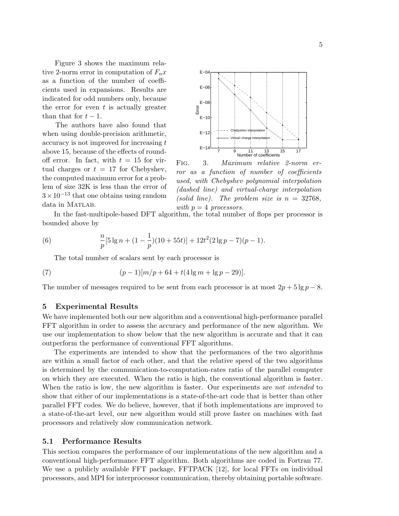Figure 3 shows the maximum relative 2-norm error in computation of  $F_n x$ as a function of the number of coefficients used in expansions. Results are indicated for odd numbers only, because the error for even  $t$  is actually greater than that for  $t-1$ .

The authors have also found that when using double-precision arithmetic,  $\alpha$  accuracy is not improved for increasing  $t$ above 15, because of the effects of roundoff error. In fact, with  $t = 15$  for virtual charges or  $t = 17$  for Chebyshev, the computed maximum error for a problem of size 32K is less than the error of  $3 \times 10^{-13}$  that one obtains using random data in MATLAB.



Fig. 3. Maximum relative 2-norm error as a function of number of coefficients used, with Chebyshev polynomial interpolation (dashed line) and virtual-charge interpolation (solid line). The problem size is  $n = 32768$ , with  $p = 4$  processors.

In the fast-multipole-based DFT algorithm, the total number of flops per processor is bounded above by

(6) 
$$
\frac{n}{p}[5\lg n + (1-\frac{1}{p})(10+55t)] + 12t^2(2\lg p - 7)(p-1).
$$

The total number of scalars sent by each processor is

(7) 
$$
(p-1)[m/p+64+t(4\lg m+\lg p-29)].
$$

The number of messages required to be sent from each processor is at most  $2p + 5\lg p - 8$ .

#### **5 Experimental Results**

We have implemented both our new algorithm and a conventional high-performance parallel FFT algorithm in order to assess the accuracy and performance of the new algorithm. We use our implementation to show below that the new algorithm is accurate and that it can outperform the performance of conventional FFT algorithms.

The experiments are intended to show that the performances of the two algorithms are within a small factor of each other, and that the relative speed of the two algorithms is determined by the communication-to-computation-rates ratio of the parallel computer on which they are executed. When the ratio is high, the conventional algorithm is faster. When the ratio is low, the new algorithm is faster. Our experiments are not intended to show that either of our implementations is a state-of-the-art code that is better than other parallel FFT codes. We do believe, however, that if both implementations are improved to a state-of-the-art level, our new algorithm would still prove faster on machines with fast processors and relatively slow communication network.

### **5.1 Performance Results**

This section compares the performance of our implementations of the new algorithm and a conventional high-performance FFT algorithm. Both algorithms are coded in Fortran 77. We use a publicly available FFT package, FFTPACK [12], for local FFTs on individual processors, and MPI for interprocessor communication, thereby obtaining portable software.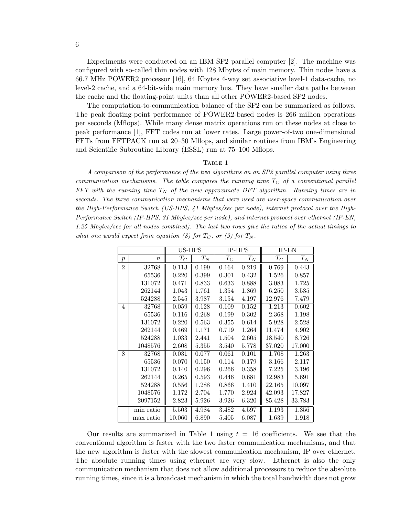Experiments were conducted on an IBM SP2 parallel computer [2]. The machine was configured with so-called thin nodes with 128 Mbytes of main memory. Thin nodes have a 66.7 MHz POWER2 processor [16], 64 Kbytes 4-way set associative level-1 data-cache, no level-2 cache, and a 64-bit-wide main memory bus. They have smaller data paths between the cache and the floating-point units than all other POWER2-based SP2 nodes.

The computation-to-communication balance of the SP2 can be summarized as follows. The peak floating-point performance of POWER2-based nodes is 266 million operations per seconds (Mflops). While many dense matrix operations run on these nodes at close to peak performance [1], FFT codes run at lower rates. Large power-of-two one-dimensional FFTs from FFTPACK run at 20–30 Mflops, and similar routines from IBM's Engineering and Scientific Subroutine Library (ESSL) run at 75–100 Mflops.

#### TABLE 1

A comparison of the performance of the two algorithms on an SP2 parallel computer using three communication mechanisms. The table compares the running time  $T_c$  of a conventional parallel FFT with the running time  $T_N$  of the new approximate DFT algorithm. Running times are in seconds. The three communication mechanisms that were used are user-space communication over the High-Performance Switch (US-HPS, 41 Mbytes/sec per node), internet protocol over the High-Performance Switch (IP-HPS, 31 Mbytes/sec per node), and internet protocol over ethernet (IP-EN, 1.25 Mbytes/sec for all nodes combined). The last two rows give the ratios of the actual timings to what one would expect from equation (8) for  $T_{C}$ , or (9) for  $T_{N}$ .

|                |                  | US-HPS |       | IP-HPS |       | $IP-EN$ |        |
|----------------|------------------|--------|-------|--------|-------|---------|--------|
| $\mathcal{p}$  | $\boldsymbol{n}$ | $T_C$  | $T_N$ | $T_C$  | $T_N$ | $T_C$   | $T_N$  |
| $\overline{2}$ | 32768            | 0.113  | 0.199 | 0.164  | 0.219 | 0.769   | 0.443  |
|                | 65536            | 0.220  | 0.399 | 0.301  | 0.432 | 1.526   | 0.857  |
|                | 131072           | 0.471  | 0.833 | 0.633  | 0.888 | 3.083   | 1.725  |
|                | 262144           | 1.043  | 1.761 | 1.354  | 1.869 | 6.250   | 3.535  |
|                | 524288           | 2.545  | 3.987 | 3.154  | 4.197 | 12.976  | 7.479  |
| $\overline{4}$ | 32768            | 0.059  | 0.128 | 0.109  | 0.152 | 1.213   | 0.602  |
|                | 65536            | 0.116  | 0.268 | 0.199  | 0.302 | 2.368   | 1.198  |
|                | 131072           | 0.220  | 0.563 | 0.355  | 0.614 | 5.928   | 2.528  |
|                | 262144           | 0.469  | 1.171 | 0.719  | 1.264 | 11.474  | 4.902  |
|                | 524288           | 1.033  | 2.441 | 1.504  | 2.605 | 18.540  | 8.726  |
|                | 1048576          | 2.608  | 5.355 | 3.540  | 5.778 | 37.020  | 17.000 |
| 8              | 32768            | 0.031  | 0.077 | 0.061  | 0.101 | 1.708   | 1.263  |
|                | 65536            | 0.070  | 0.150 | 0.114  | 0.179 | 3.166   | 2.117  |
|                | 131072           | 0.140  | 0.296 | 0.266  | 0.358 | 7.225   | 3.196  |
|                | 262144           | 0.265  | 0.593 | 0.446  | 0.681 | 12.983  | 5.691  |
|                | 524288           | 0.556  | 1.288 | 0.866  | 1.410 | 22.165  | 10.097 |
|                | 1048576          | 1.172  | 2.704 | 1.770  | 2.924 | 42.093  | 17.827 |
|                | 2097152          | 2.823  | 5.926 | 3.926  | 6.320 | 85.428  | 33.783 |
|                | min ratio        | 5.503  | 4.984 | 3.482  | 4.597 | 1.193   | 1.356  |
|                | max ratio        | 10.060 | 6.890 | 5.405  | 6.087 | 1.639   | 1.918  |

Our results are summarized in Table 1 using  $t = 16$  coefficients. We see that the conventional algorithm is faster with the two faster communication mechanisms, and that the new algorithm is faster with the slowest communication mechanism, IP over ethernet. The absolute running times using ethernet are very slow. Ethernet is also the only communication mechanism that does not allow additional processors to reduce the absolute running times, since it is a broadcast mechanism in which the total bandwidth does not grow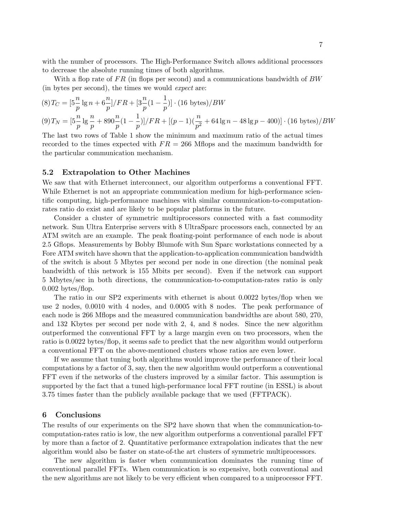with the number of processors. The High-Performance Switch allows additional processors to decrease the absolute running times of both algorithms.

With a flop rate of  $FR$  (in flops per second) and a communications bandwidth of  $BW$ (in bytes per second), the times we would expect are:

$$
(8) T_C = \left[ 5 \frac{n}{p} \lg n + 6 \frac{n}{p} \right] / FR + \left[ 3 \frac{n}{p} (1 - \frac{1}{p}) \right] \cdot (16 \text{ bytes}) / BW
$$
  

$$
(9) T_N = \left[ 5 \frac{n}{p} \lg \frac{n}{p} + 890 \frac{n}{p} (1 - \frac{1}{p}) \right] / FR + \left[ (p - 1) (\frac{n}{p^2} + 64 \lg n - 48 \lg p - 400) \right] \cdot (16 \text{ bytes}) / BW
$$

The last two rows of Table 1 show the minimum and maximum ratio of the actual times recorded to the times expected with  $FR = 266$  Mflops and the maximum bandwidth for the particular communication mechanism.

#### **5.2 Extrapolation to Other Machines**

We saw that with Ethernet interconnect, our algorithm outperforms a conventional FFT. While Ethernet is not an appropriate communication medium for high-performance scientific computing, high-performance machines with similar communication-to-computationrates ratio do exist and are likely to be popular platforms in the future.

Consider a cluster of symmetric multiprocessors connected with a fast commodity network. Sun Ultra Enterprise servers with 8 UltraSparc processors each, connected by an ATM switch are an example. The peak floating-point performance of each node is about 2.5 Gflops. Measurements by Bobby Blumofe with Sun Sparc workstations connected by a Fore ATM switch have shown that the application-to-application communication bandwidth of the switch is about 5 Mbytes per second per node in one direction (the nominal peak bandwidth of this network is 155 Mbits per second). Even if the network can support 5 Mbytes/sec in both directions, the communication-to-computation-rates ratio is only 0.002 bytes/flop.

The ratio in our SP2 experiments with ethernet is about 0.0022 bytes/flop when we use 2 nodes, 0.0010 with 4 nodes, and 0.0005 with 8 nodes. The peak performance of each node is 266 Mflops and the measured communication bandwidths are about 580, 270, and 132 Kbytes per second per node with 2, 4, and 8 nodes. Since the new algorithm outperformed the conventional FFT by a large margin even on two processors, when the ratio is 0.0022 bytes/flop, it seems safe to predict that the new algorithm would outperform a conventional FFT on the above-mentioned clusters whose ratios are even lower.

If we assume that tuning both algorithms would improve the performance of their local computations by a factor of 3, say, then the new algorithm would outperform a conventional FFT even if the networks of the clusters improved by a similar factor. This assumption is supported by the fact that a tuned high-performance local FFT routine (in ESSL) is about 3.75 times faster than the publicly available package that we used (FFTPACK).

#### **6 Conclusions**

The results of our experiments on the SP2 have shown that when the communication-tocomputation-rates ratio is low, the new algorithm outperforms a conventional parallel FFT by more than a factor of 2. Quantitative performance extrapolation indicates that the new algorithm would also be faster on state-of-the art clusters of symmetric multiprocessors.

The new algorithm is faster when communication dominates the running time of conventional parallel FFTs. When communication is so expensive, both conventional and the new algorithms are not likely to be very efficient when compared to a uniprocessor FFT.